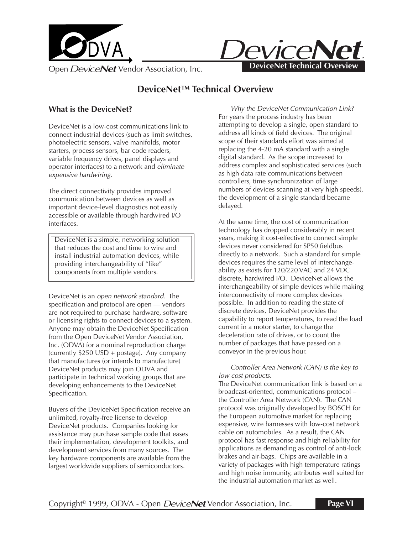



# **DeviceNet™ Technical Overview**

## **What is the DeviceNet?**

DeviceNet is a low-cost communications link to connect industrial devices (such as limit switches, photoelectric sensors, valve manifolds, motor starters, process sensors, bar code readers, variable frequency drives, panel displays and operator interfaces) to a network and eliminate expensive hardwiring.

The direct connectivity provides improved communication between devices as well as important device-level diagnostics not easily accessible or available through hardwired I/O interfaces.

DeviceNet is a simple, networking solution that reduces the cost and time to wire and install industrial automation devices, while providing interchangeability of "like" components from multiple vendors.

DeviceNet is an open network standard. The specification and protocol are open — vendors are not required to purchase hardware, software or licensing rights to connect devices to a system. Anyone may obtain the DeviceNet Specification from the Open DeviceNet Vendor Association, Inc. (ODVA) for a nominal reproduction charge (currently \$250 USD + postage). Any company that manufactures (or intends to manufacture) DeviceNet products may join ODVA and participate in technical working groups that are developing enhancements to the DeviceNet Specification.

Buyers of the DeviceNet Specification receive an unlimited, royalty-free license to develop DeviceNet products. Companies looking for assistance may purchase sample code that eases their implementation, development toolkits, and development services from many sources. The key hardware components are available from the largest worldwide suppliers of semiconductors.

Why the DeviceNet Communication Link? For years the process industry has been attempting to develop a single, open standard to address all kinds of field devices. The original scope of their standards effort was aimed at replacing the 4-20 mA standard with a single digital standard. As the scope increased to address complex and sophisticated services (such as high data rate communications between controllers, time synchronization of large numbers of devices scanning at very high speeds), the development of a single standard became delayed.

At the same time, the cost of communication technology has dropped considerably in recent years, making it cost-effective to connect simple devices never considered for SP50 fieldbus directly to a network. Such a standard for simple devices requires the same level of interchangeability as exists for 120/220 VAC and 24 VDC discrete, hardwired I/O. DeviceNet allows the interchangeability of simple devices while making interconnectivity of more complex devices possible. In addition to reading the state of discrete devices, DeviceNet provides the capability to report temperatures, to read the load current in a motor starter, to change the deceleration rate of drives, or to count the number of packages that have passed on a conveyor in the previous hour.

#### Controller Area Network (CAN) is the key to low cost products.

The DeviceNet communication link is based on a broadcast-oriented, communications protocol – the Controller Area Network (CAN). The CAN protocol was originally developed by BOSCH for the European automotive market for replacing expensive, wire harnesses with low-cost network cable on automobiles. As a result, the CAN protocol has fast response and high reliability for applications as demanding as control of anti-lock brakes and air-bags. Chips are available in a variety of packages with high temperature ratings and high noise immunity, attributes well suited for the industrial automation market as well.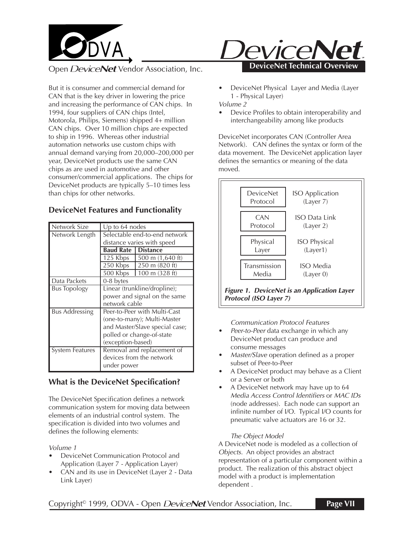

But it is consumer and commercial demand for CAN that is the key driver in lowering the price and increasing the performance of CAN chips. In 1994, four suppliers of CAN chips (Intel, Motorola, Philips, Siemens) shipped 4+ million CAN chips. Over 10 million chips are expected to ship in 1996. Whereas other industrial automation networks use custom chips with annual demand varying from 20,000–200,000 per year, DeviceNet products use the same CAN chips as are used in automotive and other consumer/commercial applications. The chips for DeviceNet products are typically 5–10 times less than chips for other networks.

### **DeviceNet Features and Functionality**

| Up to $64$ nodes               |                          |  |  |  |
|--------------------------------|--------------------------|--|--|--|
| Selectable end-to-end network  |                          |  |  |  |
| distance varies with speed     |                          |  |  |  |
| <b>Baud Rate 1</b>             | <b>Distance</b>          |  |  |  |
| 125 Kbps                       | 500 m (1,640 ft)         |  |  |  |
| 250 Kbps                       | 250 m (820 ft)           |  |  |  |
| 500 Kbps                       | 100 m $(328 \text{ ft})$ |  |  |  |
| 0-8 bytes                      |                          |  |  |  |
| Linear (trunkline/dropline);   |                          |  |  |  |
| power and signal on the same   |                          |  |  |  |
| network cable                  |                          |  |  |  |
| Peer-to-Peer with Multi-Cast   |                          |  |  |  |
| (one-to-many); Multi-Master    |                          |  |  |  |
| and Master/Slave special case; |                          |  |  |  |
| polled or change-of-state      |                          |  |  |  |
| (exception-based)              |                          |  |  |  |
| Removal and replacement of     |                          |  |  |  |
| devices from the network       |                          |  |  |  |
| under power                    |                          |  |  |  |
|                                |                          |  |  |  |

## **What is the DeviceNet Specification?**

The DeviceNet Specification defines a network communication system for moving data between elements of an industrial control system. The specification is divided into two volumes and defines the following elements:

#### Volume 1

- DeviceNet Communication Protocol and Application (Layer 7 - Application Layer)
- CAN and its use in DeviceNet (Layer 2 Data Link Layer)



• DeviceNet Physical Layer and Media (Layer 1 - Physical Layer)

Volume 2

• Device Profiles to obtain interoperability and interchangeability among like products

DeviceNet incorporates CAN (Controller Area Network). CAN defines the syntax or form of the data movement. The DeviceNet application layer defines the semantics or meaning of the data moved.



Communication Protocol Features

- Peer-to-Peer data exchange in which any DeviceNet product can produce and consume messages
- Master/Slave operation defined as a proper subset of Peer-to-Peer
- A DeviceNet product may behave as a Client or a Server or both
- A DeviceNet network may have up to 64 Media Access Control Identifiers or MAC IDs (node addresses). Each node can support an infinite number of I/O. Typical I/O counts for pneumatic valve actuators are 16 or 32.

#### The Object Model

A DeviceNet node is modeled as a collection of Objects. An object provides an abstract representation of a particular component within a product. The realization of this abstract object model with a product is implementation dependent .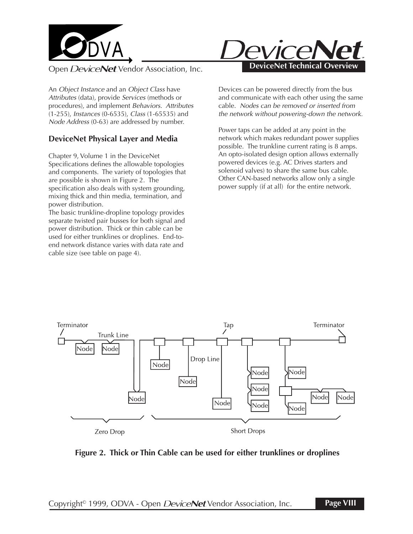

An Object Instance and an Object Class have Attributes (data), provide Services (methods or procedures), and implement Behaviors. Attributes (1-255), Instances (0-6535), Class (1-65535) and Node Address (0-63) are addressed by number.

## **DeviceNet Physical Layer and Media**

Chapter 9, Volume 1 in the DeviceNet Specifications defines the allowable topologies and components. The variety of topologies that are possible is shown in Figure 2. The specification also deals with system grounding, mixing thick and thin media, termination, and power distribution.

The basic trunkline-dropline topology provides separate twisted pair busses for both signal and power distribution. Thick or thin cable can be used for either trunklines or droplines. End-toend network distance varies with data rate and cable size (see table on page 4).



Devices can be powered directly from the bus and communicate with each other using the same cable. Nodes can be removed or inserted from the network without powering-down the network.

Power taps can be added at any point in the network which makes redundant power supplies possible. The trunkline current rating is 8 amps. An opto-isolated design option allows externally powered devices (e.g. AC Drives starters and solenoid valves) to share the same bus cable. Other CAN-based networks allow only a single power supply (if at all) for the entire network.



**Figure 2. Thick or Thin Cable can be used for either trunklines or droplines**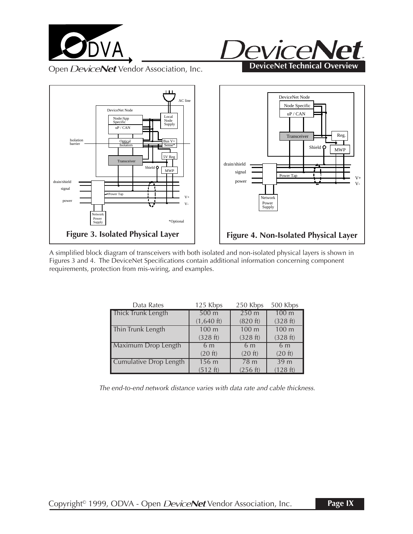





A simplified block diagram of transceivers with both isolated and non-isolated physical layers is shown in Figures 3 and 4. The DeviceNet Specifications contain additional information concerning component requirements, protection from mis-wiring, and examples.

| Data Rates                 | 125 Kbps             | 250 Kbps         | 500 Kbps         |
|----------------------------|----------------------|------------------|------------------|
| Thick Trunk Length         | 500 <sub>m</sub>     | 250 <sub>m</sub> | 100 <sub>m</sub> |
|                            | $(1,640 \text{ ft})$ | (820 ft)         | (328 ft)         |
| Thin Trunk Length          | 100 m                | 100 <sub>m</sub> | 100 m            |
|                            | (328 ft)             | (328 ft)         | (328 ft)         |
| <b>Maximum Drop Length</b> | 6 <sub>m</sub>       | 6 <sub>m</sub>   | 6 <sub>m</sub>   |
|                            | (20 ft)              | (20 ft)          | (20 ft)          |
| Cumulative Drop Length     | 156 <sub>m</sub>     | 78 <sub>m</sub>  | 39 <sub>m</sub>  |
|                            | (512 ft)             | (256 ft)         | (128 ft)         |

The end-to-end network distance varies with data rate and cable thickness.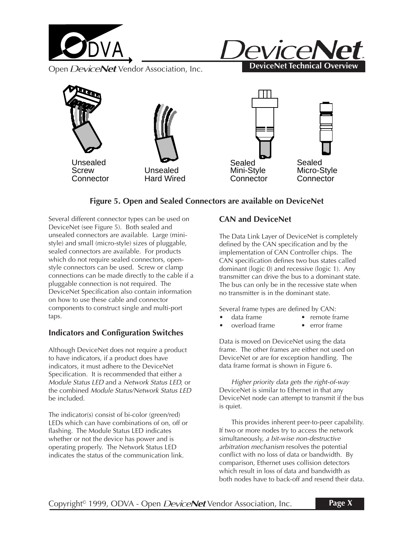





# **Figure 5. Open and Sealed Connectors are available on DeviceNet**

Several different connector types can be used on DeviceNet (see Figure 5). Both sealed and unsealed connectors are available. Large (ministyle) and small (micro-style) sizes of pluggable, sealed connectors are available. For products which do not require sealed connectors, openstyle connectors can be used. Screw or clamp connections can be made directly to the cable if a pluggable connection is not required. The DeviceNet Specification also contain information on how to use these cable and connector components to construct single and multi-port taps.

## **Indicators and Configuration Switches**

Although DeviceNet does not require a product to have indicators, if a product does have indicators, it must adhere to the DeviceNet Specification. It is recommended that either a Module Status LED and a Network Status LED, or the combined Module Status/Network Status LED be included.

The indicator(s) consist of bi-color (green/red) LEDs which can have combinations of on, off or flashing. The Module Status LED indicates whether or not the device has power and is operating properly. The Network Status LED indicates the status of the communication link.

### **CAN and DeviceNet**

The Data Link Layer of DeviceNet is completely defined by the CAN specification and by the implementation of CAN Controller chips. The CAN specification defines two bus states called dominant (logic 0) and recessive (logic 1). Any transmitter can drive the bus to a dominant state. The bus can only be in the recessive state when no transmitter is in the dominant state.

Several frame types are defined by CAN:

- data frame remote frame
	-
- overload frame error frame

Data is moved on DeviceNet using the data frame. The other frames are either not used on DeviceNet or are for exception handling. The data frame format is shown in Figure 6.

Higher priority data gets the right-of-way DeviceNet is similar to Ethernet in that any DeviceNet node can attempt to transmit if the bus is quiet.

This provides inherent peer-to-peer capability. If two or more nodes try to access the network simultaneously, a bit-wise non-destructive arbitration mechanism resolves the potential conflict with no loss of data or bandwidth. By comparison, Ethernet uses collision detectors which result in loss of data and bandwidth as both nodes have to back-off and resend their data.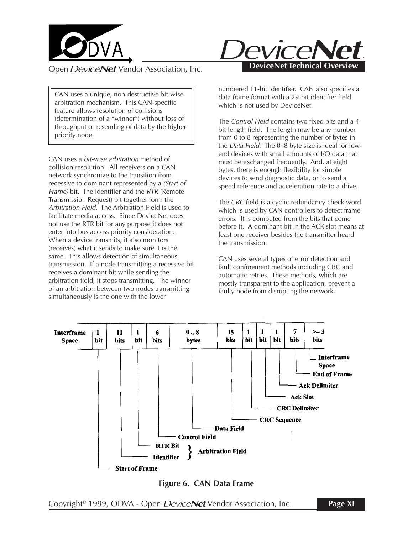

CAN uses a unique, non-destructive bit-wise arbitration mechanism. This CAN-specific feature allows resolution of collisions (determination of a "winner") without loss of throughput or resending of data by the higher priority node.

CAN uses a bit-wise arbitration method of collision resolution. All receivers on a CAN network synchronize to the transition from recessive to dominant represented by a (Start of Frame) bit. The identifier and the RTR (Remote Transmission Request) bit together form the Arbitration Field. The Arbitration Field is used to facilitate media access. Since DeviceNet does not use the RTR bit for any purpose it does not enter into bus access priority consideration. When a device transmits, it also monitors (receives) what it sends to make sure it is the same. This allows detection of simultaneous transmission. If a node transmitting a recessive bit receives a dominant bit while sending the arbitration field, it stops transmitting. The winner of an arbitration between two nodes transmitting simultaneously is the one with the lower



numbered 11-bit identifier. CAN also specifies a data frame format with a 29-bit identifier field which is not used by DeviceNet.

The Control Field contains two fixed bits and a 4 bit length field. The length may be any number from 0 to 8 representing the number of bytes in the Data Field. The 0–8 byte size is ideal for lowend devices with small amounts of I/O data that must be exchanged frequently. And, at eight bytes, there is enough flexibility for simple devices to send diagnostic data, or to send a speed reference and acceleration rate to a drive.

The CRC field is a cyclic redundancy check word which is used by CAN controllers to detect frame errors. It is computed from the bits that come before it. A dominant bit in the ACK slot means at least one receiver besides the transmitter heard the transmission.

CAN uses several types of error detection and fault confinement methods including CRC and automatic retries. These methods, which are mostly transparent to the application, prevent a faulty node from disrupting the network.



**Figure 6. CAN Data Frame**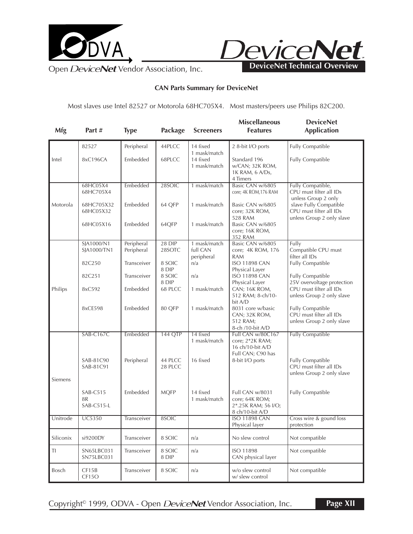



**CAN Parts Summary for DeviceNet**

Most slaves use Intel 82527 or Motorola 68HC705X4. Most masters/peers use Philips 82C200.

| Mfg                  | Part $#$                     | <b>Type</b> | Package         | <b>Screeners</b>                         | <b>Miscellaneous</b><br><b>Features</b>                                     | <b>DeviceNet</b><br><b>Application</b>                                   |
|----------------------|------------------------------|-------------|-----------------|------------------------------------------|-----------------------------------------------------------------------------|--------------------------------------------------------------------------|
|                      | 82527                        | Peripheral  | 44PLCC          | 14 fixed                                 | 2 8-bit I/O ports                                                           | <b>Fully Compatible</b>                                                  |
| Intel                | 8xC196CA                     | Embedded    | 68PLCC          | 1 mask/match<br>14 fixed<br>1 mask/match | Standard 196<br>w/CAN; 32K ROM,<br>1K RAM, 6 A/Ds,<br>4 Timers              | <b>Fully Compatible</b>                                                  |
|                      | 68HC05X4<br>68HC705X4        | Embedded    | 28SOIC          | 1 mask/match                             | Basic CAN w/6805<br>core; 4K ROM, 176 RAM                                   | Fully Compatible,<br>CPU must filter all IDs<br>unless Group 2 only      |
| Motorola             | 68HC705X32<br>68HC05X32      | Embedded    | 64 QFP          | 1 mask/match                             | Basic CAN w/6805<br>core; 32K ROM,                                          | slave Fully Compatible<br>CPU must filter all IDs                        |
|                      | 68HC05X16<br>Embedded        |             | 64QFP           | 1 mask/match                             | 528 RAM<br>Basic CAN w/6805<br>core; 16K ROM,<br>352 RAM                    | unless Group 2 only slave                                                |
|                      | SJA1000/N1                   | Peripheral  | 28 DIP          | 1 mask/match                             | Basic CAN w/6805                                                            | Fully                                                                    |
|                      | SJA1000/TN1                  | Peripheral  | 28SOTC          | full CAN<br>peripheral                   | core; 4K ROM, 176<br><b>RAM</b>                                             | Compatible CPU must<br>filter all IDs                                    |
|                      | 82C250                       | Transceiver | 8 SOIC<br>8 DIP | n/a                                      | <b>ISO 11898 CAN</b><br>Physical Layer                                      | Fully Compatible                                                         |
|                      | 82C251                       | Transceiver | 8 SOIC<br>8 DIP | n/a                                      | <b>ISO 11898 CAN</b><br>Physical Layer                                      | <b>Fully Compatible</b><br>25V overvoltage protection                    |
| Philips              | 8xC592                       | Embedded    | 68 PLCC         | 1 mask/match                             | CAN; 16K ROM,<br>512 RAM; 8-ch/10-<br>bit A/D                               | CPU must filter all IDs<br>unless Group 2 only slave                     |
|                      | 8xCE598                      | Embedded    | 80 QFP          | 1 mask/match                             | 8031 core w/basic<br>CAN; 32K ROM,<br>512 RAM;<br>8-ch /10-bit A/D          | Fully Compatible<br>CPU must filter all IDs<br>unless Group 2 only slave |
|                      | <b>SAB-C167C</b>             | Embedded    | <b>144 QTP</b>  | 14 fixed<br>1 mask/match                 | Full CAN w/80C167<br>core; 2*2K RAM;                                        | <b>Fully Compatible</b>                                                  |
|                      |                              |             | 44 PLCC         | 16 fixed                                 | 16 ch/10-bit A/D<br>Full CAN; C90 has                                       |                                                                          |
| Siemens              | SAB-81C90<br>SAB-81C91       | Peripheral  | 28 PLCC         |                                          | 8-bit I/O ports                                                             | Fully Compatible<br>CPU must filter all IDs<br>unless Group 2 only slave |
|                      | SAB-C515<br>8R<br>SAB-C515-L | Embedded    | <b>MQFP</b>     | 14 fixed<br>1 mask/match                 | Full CAN w/8031<br>core; 64K ROM;<br>2*.25K RAM; 56 I/O;<br>8 ch/10-bit A/D | <b>Fully Compatible</b>                                                  |
| Unitrode             | <b>UC5350</b>                | Transceiver | 8SOIC           |                                          | <b>ISO 11898 CAN</b><br>Physical layer                                      | Cross wire & gound loss<br>protection                                    |
| Siliconix            | si9200DY                     | Transceiver | 8 SOIC          | n/a                                      | No slew control                                                             | Not compatible                                                           |
| $\mathsf T\mathsf I$ | SN65LBC031<br>SN75LBC031     | Transceiver | 8 SOIC<br>8 DIP | n/a                                      | ISO 11898<br>CAN physical layer                                             | Not compatible                                                           |
| Bosch                | CF15B<br>CF15O               | Transceiver | 8 SOIC          | n/a                                      | w/o slew control<br>w/ slew control                                         | Not compatible                                                           |

Copyright<sup>®</sup> 1999, ODVA - Open DeviceNet Vendor Association, Inc.

**Page XII**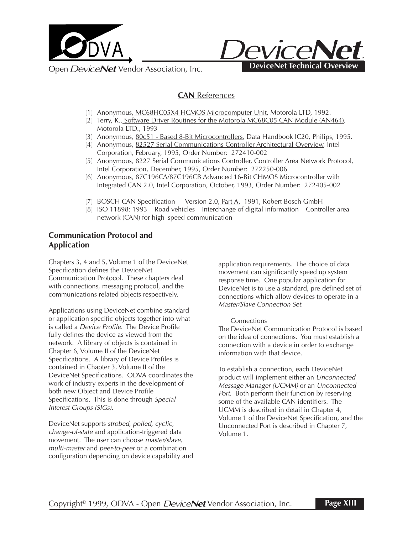



## **CAN** References

- [1] Anonymous, MC68HC05X4 HCMOS Microcomputer Unit, Motorola LTD, 1992.
- [2] Terry, K., Software Driver Routines for the Motorola MC68C05 CAN Module (AN464), Motorola LTD., 1993
- [3] Anonymous, 80c51 Based 8-Bit Microcontrollers, Data Handbook IC20, Philips, 1995.
- [4] Anonymous, 82527 Serial Communications Controller Architectural Overview, Intel Corporation, February, 1995, Order Number: 272410-002
- [5] Anonymous, 8227 Serial Communications Controller, Controller Area Network Protocol, Intel Corporation, December, 1995, Order Number: 272250-006
- [6] Anonymous, 87C196CA/87C196CB Advanced 16-Bit CHMOS Microcontroller with Integrated CAN 2.0, Intel Corporation, October, 1993, Order Number: 272405-002
- [7] BOSCH CAN Specification Version 2.0, Part A. 1991, Robert Bosch GmbH
- [8] ISO 11898: 1993 Road vehicles Interchange of digital information Controller area network (CAN) for high–speed communication

### **Communication Protocol and Application**

Chapters 3, 4 and 5, Volume 1 of the DeviceNet Specification defines the DeviceNet Communication Protocol. These chapters deal with connections, messaging protocol, and the communications related objects respectively.

Applications using DeviceNet combine standard or application specific objects together into what is called a Device Profile. The Device Profile fully defines the device as viewed from the network. A library of objects is contained in Chapter 6, Volume II of the DeviceNet Specifications. A library of Device Profiles is contained in Chapter 3, Volume II of the DeviceNet Specifications. ODVA coordinates the work of industry experts in the development of both new Object and Device Profile Specifications. This is done through Special Interest Groups (SIGs).

DeviceNet supports strobed, polled, cyclic, change-of-state and application-triggered data movement. The user can choose master/slave, multi-master and peer-to-peer or a combination configuration depending on device capability and application requirements. The choice of data movement can significantly speed up system response time. One popular application for DeviceNet is to use a standard, pre-defined set of connections which allow devices to operate in a Master/Slave Connection Set.

#### **Connections**

The DeviceNet Communication Protocol is based on the idea of connections. You must establish a connection with a device in order to exchange information with that device.

To establish a connection, each DeviceNet product will implement either an Unconnected Message Manager (UCMM) or an Unconnected Port. Both perform their function by reserving some of the available CAN identifiers. The UCMM is described in detail in Chapter 4, Volume 1 of the DeviceNet Specification, and the Unconnected Port is described in Chapter 7, Volume 1.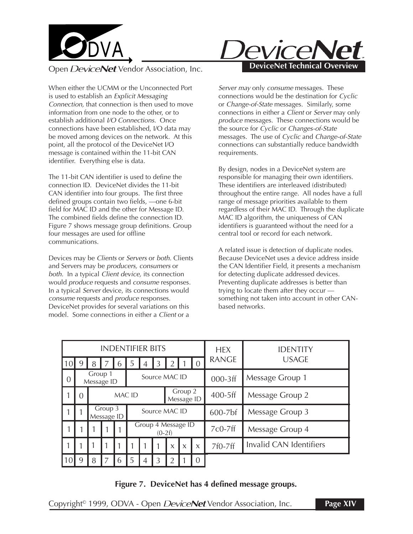

When either the UCMM or the Unconnected Port is used to establish an Explicit Messaging Connection, that connection is then used to move information from one node to the other, or to establish additional I/O Connections. Once connections have been established, I/O data may be moved among devices on the network. At this point, all the protocol of the DeviceNet I/O message is contained within the 11-bit CAN identifier. Everything else is data.

The 11-bit CAN identifier is used to define the connection ID. DeviceNet divides the 11-bit CAN identifier into four groups. The first three defined groups contain two fields, —one 6-bit field for MAC ID and the other for Message ID. The combined fields define the connection ID. Figure 7 shows message group definitions. Group four messages are used for offline communications.

Devices may be Clients or Servers or both. Clients and Servers may be producers, consumers or both. In a typical Client device, its connection would produce requests and consume responses. In a typical Server device, its connections would consume requests and produce responses. DeviceNet provides for several variations on this model. Some connections in either a Client or a



Server may only consume messages. These connections would be the destination for Cyclic or Change-of-State messages. Similarly, some connections in either a Client or Server may only produce messages. These connections would be the source for Cyclic or Changes-of-State messages. The use of Cyclic and Change-of-State connections can substantially reduce bandwidth requirements.

By design, nodes in a DeviceNet system are responsible for managing their own identifiers. These identifiers are interleaved (distributed) throughout the entire range. All nodes have a full range of message priorities available to them regardless of their MAC ID. Through the duplicate MAC ID algorithm, the uniqueness of CAN identifiers is guaranteed without the need for a central tool or record for each network.

A related issue is detection of duplicate nodes. Because DeviceNet uses a device address inside the CAN Identifier Field, it presents a mechanism for detecting duplicate addressed devices. Preventing duplicate addresses is better than trying to locate them after they occur something not taken into account in other CANbased networks.

| <b>INDENTIFIER BITS</b> |                       |        |                       |   |                                |   |   |                           | <b>HEX</b>   | <b>IDENTITY</b> |              |                                |
|-------------------------|-----------------------|--------|-----------------------|---|--------------------------------|---|---|---------------------------|--------------|-----------------|--------------|--------------------------------|
| 10                      | 9                     | 8      |                       | b | 5                              |   |   |                           |              | $\Omega$        | <b>RANGE</b> | <b>USAGE</b>                   |
| - 0                     | Group 1<br>Message ID |        |                       |   | Source MAC ID                  |   |   |                           |              |                 | 000-3ff      | Message Group 1                |
|                         | $\Omega$              | MAC ID |                       |   | Group 2<br>Message ID          |   |   |                           |              |                 | $400-5$ ff   | Message Group 2                |
|                         |                       |        | Group 3<br>Message ID |   | Source MAC ID                  |   |   |                           |              |                 | $600 - 7$ bf | Message Group 3                |
|                         |                       |        |                       |   | Group 4 Message ID<br>$(0-2f)$ |   |   |                           |              |                 | 7c0-7ff      | Message Group 4                |
|                         |                       |        |                       |   |                                |   |   | $\boldsymbol{\mathsf{X}}$ | $\mathsf{x}$ | $\mathsf{X}$    | 7f0-7ff      | <b>Invalid CAN Identifiers</b> |
|                         | q                     | 8      |                       | h | 5                              | 4 | 3 |                           |              | 0               |              |                                |

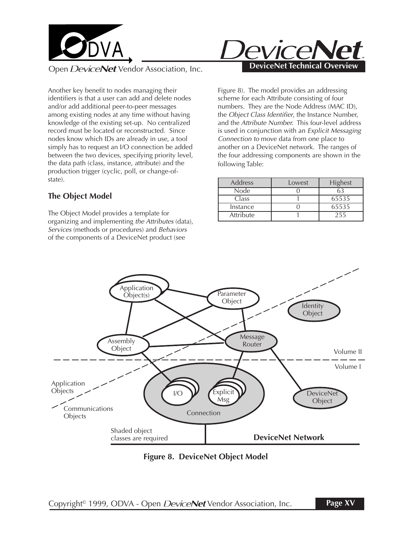

Another key benefit to nodes managing their identifiers is that a user can add and delete nodes and/or add additional peer-to-peer messages among existing nodes at any time without having knowledge of the existing set-up. No centralized record must be located or reconstructed. Since nodes know which IDs are already in use, a tool simply has to request an I/O connection be added between the two devices, specifying priority level, the data path (class, instance, attribute) and the production trigger (cyclic, poll, or change-ofstate).

## **The Object Model**

The Object Model provides a template for organizing and implementing the Attributes (data), Services (methods or procedures) and Behaviors of the components of a DeviceNet product (see



Figure 8). The model provides an addressing scheme for each Attribute consisting of four numbers. They are the Node Address (MAC ID), the Object Class Identifier, the Instance Number, and the Attribute Number. This four-level address is used in conjunction with an Explicit Messaging Connection to move data from one place to another on a DeviceNet network. The ranges of the four addressing components are shown in the following Table:

| Address   | Lowest | Highest |
|-----------|--------|---------|
| Node      |        |         |
| Class     |        | 65535   |
| Instance  |        | 65535   |
| Attribute |        | 255     |



**Figure 8. DeviceNet Object Model**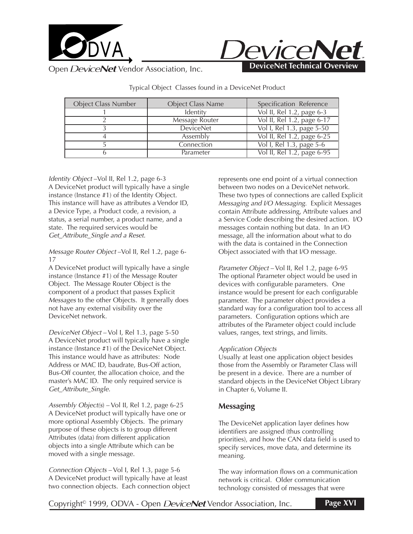



Object Class Number | Object Class Name | Specification Reference 1 Identity 1 Vol II, Rel 1.2, page 6-3 2 Message Router Vol II, Rel 1.2, page 6-17 3 DeviceNet Vol I, Rel 1.3, page 5-50 4 Assembly Vol II, Rel 1.2, page 6-25 5 Connection Vol I, Rel 1.3, page 5-6 6 Parameter Vol II, Rel 1.2, page 6-95

Typical Object Classes found in a DeviceNet Product

Identity Object –Vol II, Rel 1.2, page 6-3 A DeviceNet product will typically have a single instance (Instance #1) of the Identity Object. This instance will have as attributes a Vendor ID, a Device Type, a Product code, a revision, a status, a serial number, a product name, and a state. The required services would be Get Attribute Single and a Reset.

Message Router Object –Vol II, Rel 1.2, page 6- 17

A DeviceNet product will typically have a single instance (Instance #1) of the Message Router Object. The Message Router Object is the component of a product that passes Explicit Messages to the other Objects. It generally does not have any external visibility over the DeviceNet network.

DeviceNet Object – Vol I, Rel 1.3, page 5-50 A DeviceNet product will typically have a single instance (Instance #1) of the DeviceNet Object. This instance would have as attributes: Node Address or MAC ID, baudrate, Bus-Off action, Bus-Off counter, the allocation choice, and the master's MAC ID. The only required service is Get\_Attribute\_Single.

Assembly  $Object(s)$  – Vol II, Rel 1.2, page 6-25 A DeviceNet product will typically have one or more optional Assembly Objects. The primary purpose of these objects is to group different Attributes (data) from different application objects into a single Attribute which can be moved with a single message.

Connection Objects – Vol I, Rel 1.3, page 5-6 A DeviceNet product will typically have at least two connection objects. Each connection object represents one end point of a virtual connection between two nodes on a DeviceNet network. These two types of connections are called Explicit Messaging and I/O Messaging. Explicit Messages contain Attribute addressing, Attribute values and a Service Code describing the desired action. I/O messages contain nothing but data. In an I/O message, all the information about what to do with the data is contained in the Connection Object associated with that I/O message.

Parameter Object – Vol II, Rel 1.2, page 6-95 The optional Parameter object would be used in devices with configurable parameters. One instance would be present for each configurable parameter. The parameter object provides a standard way for a configuration tool to access all parameters. Configuration options which are attributes of the Parameter object could include values, ranges, text strings, and limits.

#### Application Objects

Usually at least one application object besides those from the Assembly or Parameter Class will be present in a device. There are a number of standard objects in the DeviceNet Object Library in Chapter 6, Volume II.

### **Messaging**

The DeviceNet application layer defines how identifiers are assigned (thus controlling priorities), and how the CAN data field is used to specify services, move data, and determine its meaning.

The way information flows on a communication network is critical. Older communication technology consisted of messages that were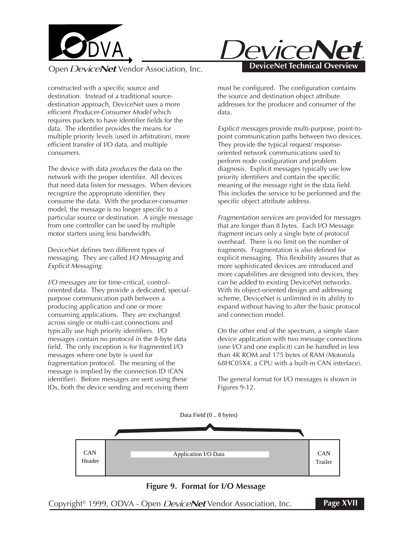



constructed with a specific source and destination. Instead of a traditional sourcedestination approach, DeviceNet uses a more efficient Producer-Consumer Model which requires packets to have identifier fields for the data. The identifier provides the means for multiple priority levels (used in arbitration), more efficient transfer of I/O data, and multiple consumers.

The device with data *produces* the data on the network with the proper identifier. All devices that need data listen for messages. When devices recognize the appropriate identifier, they consume the data. With the producer-consumer model, the message is no longer specific to a particular source or destination. A single message from one controller can be used by multiple motor starters using less bandwidth.

DeviceNet defines two different types of messaging. They are called I/O Messaging and Explicit Messaging.

I/O messages are for time-critical, controloriented data. They provide a dedicated, specialpurpose communication path between a producing application and one or more consuming applications. They are exchanged across single or multi-cast connections and typically use high priority identifiers. I/O messages contain no protocol in the 8-byte data field. The only exception is for fragmented I/O messages where one byte is used for fragmentation protocol. The meaning of the message is implied by the connection ID (CAN identifier). Before messages are sent using these IDs, both the device sending and receiving them

must be configured. The configuration contains the source and destination object attribute addresses for the producer and consumer of the data.

Explicit messages provide multi-purpose, point-topoint communication paths between two devices. They provide the typical request/ responseoriented network communications used to perform node configuration and problem diagnosis. Explicit messages typically use low priority identifiers and contain the specific meaning of the message right in the data field. This includes the service to be performed and the specific object attribute address.

Fragmentation services are provided for messages that are longer than 8 bytes. Each I/O Message fragment incurs only a single byte of protocol overhead. There is no limit on the number of fragments. Fragmentation is also defined for explicit messaging. This flexibility assures that as more sophisticated devices are introduced and more capabilities are designed into devices, they can be added to existing DeviceNet networks. With its object-oriented design and addressing scheme, DeviceNet is unlimited in its ability to expand without having to alter the basic protocol and connection model.

On the other end of the spectrum, a simple slave device application with two message connections (one I/O and one explicit) can be handled in less than 4K ROM and 175 bytes of RAM (Motorola 68HC05X4, a CPU with a built-in CAN interface).

The general format for I/O messages is shown in Figures 9-12.



#### **Figure 9. Format for I/O Message**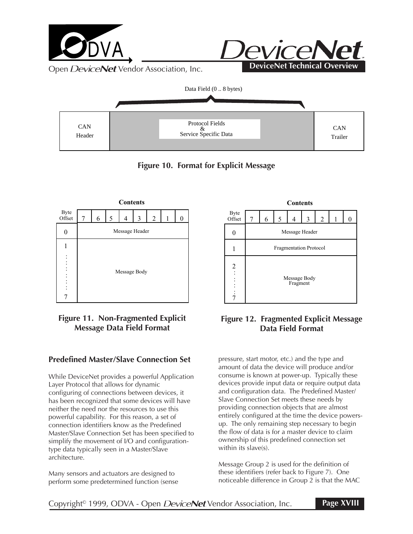

**Figure 10. Format for Explicit Message**



# **Figure 11. Non-Fragmented Explicit Message Data Field Format**

## **Predefined Master/Slave Connection Set**

While DeviceNet provides a powerful Application Layer Protocol that allows for dynamic configuring of connections between devices, it has been recognized that some devices will have neither the need nor the resources to use this powerful capability. For this reason, a set of connection identifiers know as the Predefined Master/Slave Connection Set has been specified to simplify the movement of I/O and configurationtype data typically seen in a Master/Slave architecture.

Many sensors and actuators are designed to perform some predetermined function (sense



## **Figure 12. Fragmented Explicit Message Data Field Format**

pressure, start motor, etc.) and the type and amount of data the device will produce and/or consume is known at power-up. Typically these devices provide input data or require output data and configuration data. The Predefined Master/ Slave Connection Set meets these needs by providing connection objects that are almost entirely configured at the time the device powersup. The only remaining step necessary to begin the flow of data is for a master device to claim ownership of this predefined connection set within its slave(s).

Message Group 2 is used for the definition of these identifiers (refer back to Figure 7). One noticeable difference in Group 2 is that the MAC

### Copyright<sup>®</sup> 1999, ODVA - Open *DeviceNet* Vendor Association, Inc.

**Page XVIII**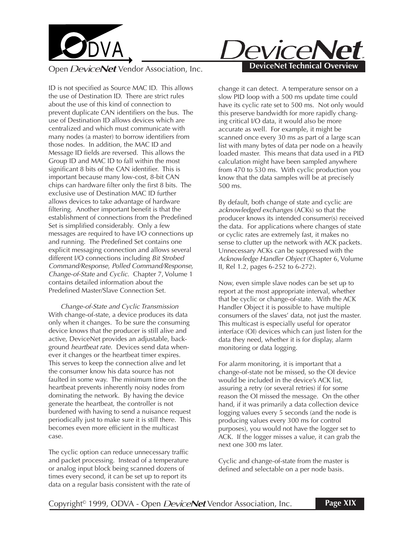

ID is not specified as Source MAC ID. This allows the use of Destination ID. There are strict rules about the use of this kind of connection to prevent duplicate CAN identifiers on the bus. The use of Destination ID allows devices which are centralized and which must communicate with many nodes (a master) to borrow identifiers from those nodes. In addition, the MAC ID and Message ID fields are reversed. This allows the Group ID and MAC ID to fall within the most significant 8 bits of the CAN identifier. This is important because many low-cost, 8-bit CAN chips can hardware filter only the first 8 bits. The exclusive use of Destination MAC ID further allows devices to take advantage of hardware filtering. Another important benefit is that the establishment of connections from the Predefined Set is simplified considerably. Only a few messages are required to have I/O connections up and running. The Predefined Set contains one explicit messaging connection and allows several different I/O connections including Bit Strobed Command/Response, Polled Command/Response, Change-of-State and Cyclic. Chapter 7, Volume 1 contains detailed information about the Predefined Master/Slave Connection Set.

Change-of-State and Cyclic Transmission With change-of-state, a device produces its data only when it changes. To be sure the consuming device knows that the producer is still alive and active, DeviceNet provides an adjustable, background heartbeat rate. Devices send data whenever it changes or the heartbeat timer expires. This serves to keep the connection alive and let the consumer know his data source has not faulted in some way. The minimum time on the heartbeat prevents inherently noisy nodes from dominating the network. By having the device generate the heartbeat, the controller is not burdened with having to send a nuisance request periodically just to make sure it is still there. This becomes even more efficient in the multicast case.

The cyclic option can reduce unnecessary traffic and packet processing. Instead of a temperature or analog input block being scanned dozens of times every second, it can be set up to report its data on a regular basis consistent with the rate of



change it can detect. A temperature sensor on a slow PID loop with a 500 ms update time could have its cyclic rate set to 500 ms. Not only would this preserve bandwidth for more rapidly changing critical I/O data, it would also be more accurate as well. For example, it might be scanned once every 30 ms as part of a large scan list with many bytes of data per node on a heavily loaded master. This means that data used in a PID calculation might have been sampled anywhere from 470 to 530 ms. With cyclic production you know that the data samples will be at precisely 500 ms.

By default, both change of state and cyclic are acknowledged exchanges (ACKs) so that the producer knows its intended consumer(s) received the data. For applications where changes of state or cyclic rates are extremely fast, it makes no sense to clutter up the network with ACK packets. Unnecessary ACKs can be suppressed with the Acknowledge Handler Object (Chapter 6, Volume II, Rel 1.2, pages 6-252 to 6-272).

Now, even simple slave nodes can be set up to report at the most appropriate interval, whether that be cyclic or change-of-state. With the ACK Handler Object it is possible to have multiple consumers of the slaves' data, not just the master. This multicast is especially useful for operator interface (OI) devices which can just listen for the data they need, whether it is for display, alarm monitoring or data logging.

For alarm monitoring, it is important that a change-of-state not be missed, so the OI device would be included in the device's ACK list, assuring a retry (or several retries) if for some reason the OI missed the message. On the other hand, if it was primarily a data collection device logging values every 5 seconds (and the node is producing values every 300 ms for control purposes), you would not have the logger set to ACK. If the logger misses a value, it can grab the next one 300 ms later.

Cyclic and change-of-state from the master is defined and selectable on a per node basis.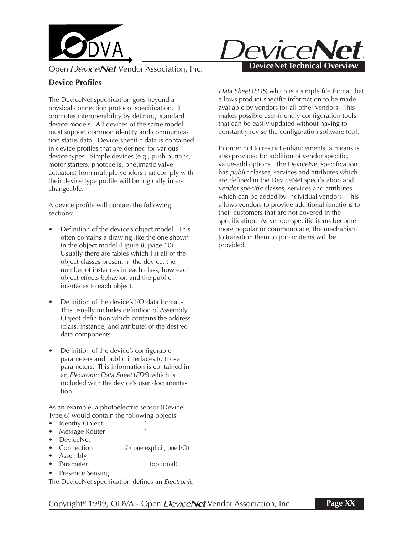

# **Device Profiles**

The DeviceNet specification goes beyond a physical connection protocol specification. It promotes interoperability by defining standard device models. All devices of the same model must support common identity and communication status data. Device-specific data is contained in device profiles that are defined for various device types. Simple devices (e.g., push buttons, motor starters, photocells, pneumatic valve actuators) from multiple vendors that comply with their device type profile will be logically interchangeable.

A device profile will contain the following sections:

- Definition of the device's object model This often contains a drawing like the one shown in the object model (Figure 8, page 10). Usually there are tables which list all of the object classes present in the device, the number of instances in each class, how each object effects behavior, and the public interfaces to each object.
- Definition of the device's I/O data format This usually includes definition of Assembly Object definition which contains the address (class, instance, and attribute) of the desired data components.
- Definition of the device's configurable parameters and public interfaces to those parameters. This information is contained in an Electronic Data Sheet (EDS) which is included with the device's user documentation.

As an example, a photoelectric sensor (Device Type 6) would contain the following objects:

- Identity Object 1
- Message Router 1
- DeviceNet 1
- Connection 2 (one explicit, one I/O)
- Assembly 1
- Parameter 1 (optional)
- Presence Sensing 1

The DeviceNet specification defines an Electronic



Data Sheet (EDS) which is a simple file format that allows product-specific information to be made available by vendors for all other vendors. This makes possible user-friendly configuration tools that can be easily updated without having to constantly revise the configuration software tool.

In order not to restrict enhancements, a means is also provided for addition of vendor specific, value-add options. The DeviceNet specification has public classes, services and attributes which are defined in the DeviceNet specification and vendor-specific classes, services and attributes which can be added by individual vendors. This allows vendors to provide additional functions to their customers that are not covered in the specification. As vendor-specific items become more popular or commonplace, the mechanism to transition them to public items will be provided.